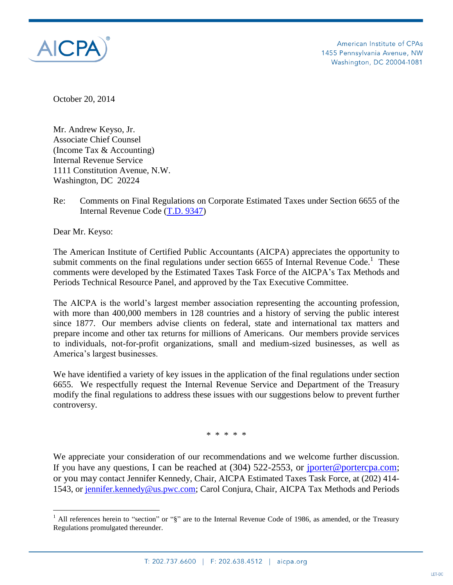

American Institute of CPAs 1455 Pennsylvania Avenue, NW Washington, DC 20004-1081

October 20, 2014

Mr. Andrew Keyso, Jr. Associate Chief Counsel (Income Tax & Accounting) Internal Revenue Service 1111 Constitution Avenue, N.W. Washington, DC 20224

Re: Comments on Final Regulations on Corporate Estimated Taxes under Section 6655 of the Internal Revenue Code [\(T.D. 9347\)](http://www.irs.gov/irb/2007-38_IRB/ar16.html)

Dear Mr. Keyso:

The American Institute of Certified Public Accountants (AICPA) appreciates the opportunity to submit comments on the final regulations under section  $6655$  of Internal Revenue Code.<sup>1</sup> These comments were developed by the Estimated Taxes Task Force of the AICPA's Tax Methods and Periods Technical Resource Panel, and approved by the Tax Executive Committee.

The AICPA is the world's largest member association representing the accounting profession, with more than 400,000 members in 128 countries and a history of serving the public interest since 1877. Our members advise clients on federal, state and international tax matters and prepare income and other tax returns for millions of Americans. Our members provide services to individuals, not-for-profit organizations, small and medium-sized businesses, as well as America's largest businesses.

We have identified a variety of key issues in the application of the final regulations under section 6655. We respectfully request the Internal Revenue Service and Department of the Treasury modify the final regulations to address these issues with our suggestions below to prevent further controversy.

\* \* \* \* \*

We appreciate your consideration of our recommendations and we welcome further discussion. If you have any questions, I can be reached at (304) 522-2553, or [jporter@portercpa.com;](mailto:jporter@portercpa.com) or you may contact Jennifer Kennedy, Chair, AICPA Estimated Taxes Task Force, at (202) 414- 1543, or [jennifer.kennedy@us.pwc.com;](mailto:jennifer.kennedy@us.pwc.com) Carol Conjura, Chair, AICPA Tax Methods and Periods

<sup>&</sup>lt;sup>1</sup> All references herein to "section" or "§" are to the Internal Revenue Code of 1986, as amended, or the Treasury Regulations promulgated thereunder.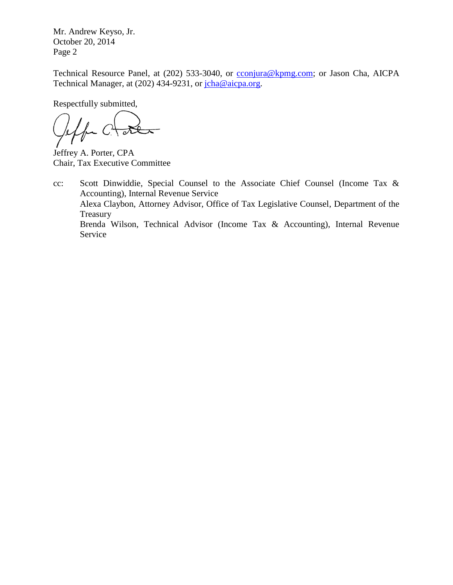Mr. Andrew Keyso, Jr. October 20, 2014 Page 2

Technical Resource Panel, at (202) 533-3040, or [cconjura@kpmg.com;](mailto:cconjura@kpmg.com) or Jason Cha, AICPA Technical Manager, at (202) 434-9231, or [jcha@aicpa.org.](mailto:mkoroghlanian@aicpa.org)

Respectfully submitted,

for  $C^*$  $\sqrt{\delta}$ 

Jeffrey A. Porter, CPA Chair, Tax Executive Committee

cc: Scott Dinwiddie, Special Counsel to the Associate Chief Counsel (Income Tax & Accounting), Internal Revenue Service Alexa Claybon, Attorney Advisor, Office of Tax Legislative Counsel, Department of the Treasury Brenda Wilson, Technical Advisor (Income Tax & Accounting), Internal Revenue Service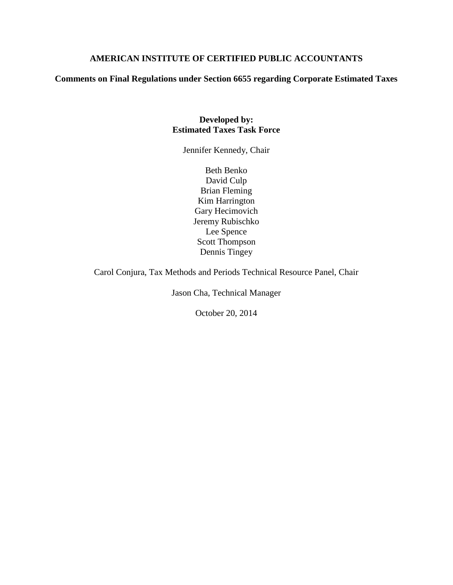# **AMERICAN INSTITUTE OF CERTIFIED PUBLIC ACCOUNTANTS**

**Comments on Final Regulations under Section 6655 regarding Corporate Estimated Taxes**

## **Developed by: Estimated Taxes Task Force**

Jennifer Kennedy, Chair

Beth Benko David Culp Brian Fleming Kim Harrington Gary Hecimovich Jeremy Rubischko Lee Spence Scott Thompson Dennis Tingey

Carol Conjura, Tax Methods and Periods Technical Resource Panel, Chair

Jason Cha, Technical Manager

October 20, 2014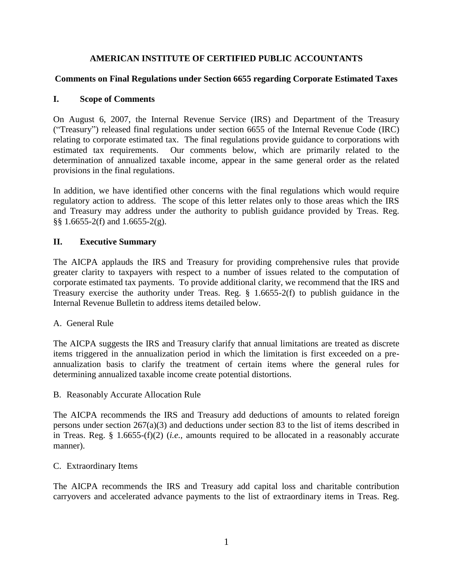# **AMERICAN INSTITUTE OF CERTIFIED PUBLIC ACCOUNTANTS**

## **Comments on Final Regulations under Section 6655 regarding Corporate Estimated Taxes**

### **I. Scope of Comments**

On August 6, 2007, the Internal Revenue Service (IRS) and Department of the Treasury ("Treasury") released final regulations under section 6655 of the Internal Revenue Code (IRC) relating to corporate estimated tax. The final regulations provide guidance to corporations with estimated tax requirements. Our comments below, which are primarily related to the determination of annualized taxable income, appear in the same general order as the related provisions in the final regulations.

In addition, we have identified other concerns with the final regulations which would require regulatory action to address. The scope of this letter relates only to those areas which the IRS and Treasury may address under the authority to publish guidance provided by Treas. Reg. §§ 1.6655-2(f) and 1.6655-2(g).

## **II. Executive Summary**

The AICPA applauds the IRS and Treasury for providing comprehensive rules that provide greater clarity to taxpayers with respect to a number of issues related to the computation of corporate estimated tax payments. To provide additional clarity, we recommend that the IRS and Treasury exercise the authority under Treas. Reg. § 1.6655-2(f) to publish guidance in the Internal Revenue Bulletin to address items detailed below.

#### A. General Rule

The AICPA suggests the IRS and Treasury clarify that annual limitations are treated as discrete items triggered in the annualization period in which the limitation is first exceeded on a preannualization basis to clarify the treatment of certain items where the general rules for determining annualized taxable income create potential distortions.

B. Reasonably Accurate Allocation Rule

The AICPA recommends the IRS and Treasury add deductions of amounts to related foreign persons under section 267(a)(3) and deductions under section 83 to the list of items described in in Treas. Reg. § 1.6655-(f)(2) (*i.e.,* amounts required to be allocated in a reasonably accurate manner).

## C. Extraordinary Items

The AICPA recommends the IRS and Treasury add capital loss and charitable contribution carryovers and accelerated advance payments to the list of extraordinary items in Treas. Reg.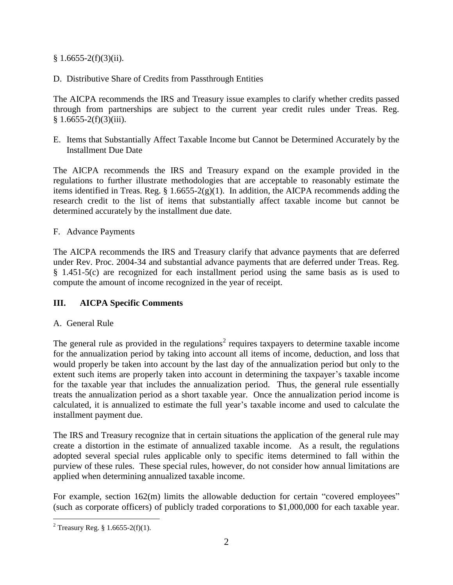$§ 1.6655-2(f)(3)(ii).$ 

D. Distributive Share of Credits from Passthrough Entities

The AICPA recommends the IRS and Treasury issue examples to clarify whether credits passed through from partnerships are subject to the current year credit rules under Treas. Reg.  $§ 1.6655-2(f)(3)(iii).$ 

E. Items that Substantially Affect Taxable Income but Cannot be Determined Accurately by the Installment Due Date

The AICPA recommends the IRS and Treasury expand on the example provided in the regulations to further illustrate methodologies that are acceptable to reasonably estimate the items identified in Treas. Reg.  $\S 1.6655-2(g)(1)$ . In addition, the AICPA recommends adding the research credit to the list of items that substantially affect taxable income but cannot be determined accurately by the installment due date.

### F. Advance Payments

The AICPA recommends the IRS and Treasury clarify that advance payments that are deferred under Rev. Proc. 2004-34 and substantial advance payments that are deferred under Treas. Reg. § 1.451-5(c) are recognized for each installment period using the same basis as is used to compute the amount of income recognized in the year of receipt.

## **III. AICPA Specific Comments**

#### A. General Rule

The general rule as provided in the regulations<sup>2</sup> requires taxpayers to determine taxable income for the annualization period by taking into account all items of income, deduction, and loss that would properly be taken into account by the last day of the annualization period but only to the extent such items are properly taken into account in determining the taxpayer's taxable income for the taxable year that includes the annualization period. Thus, the general rule essentially treats the annualization period as a short taxable year. Once the annualization period income is calculated, it is annualized to estimate the full year's taxable income and used to calculate the installment payment due.

The IRS and Treasury recognize that in certain situations the application of the general rule may create a distortion in the estimate of annualized taxable income. As a result, the regulations adopted several special rules applicable only to specific items determined to fall within the purview of these rules. These special rules, however, do not consider how annual limitations are applied when determining annualized taxable income.

For example, section 162(m) limits the allowable deduction for certain "covered employees" (such as corporate officers) of publicly traded corporations to \$1,000,000 for each taxable year.

 $\overline{a}$ 

<sup>&</sup>lt;sup>2</sup> Treasury Reg. § 1.6655-2(f)(1).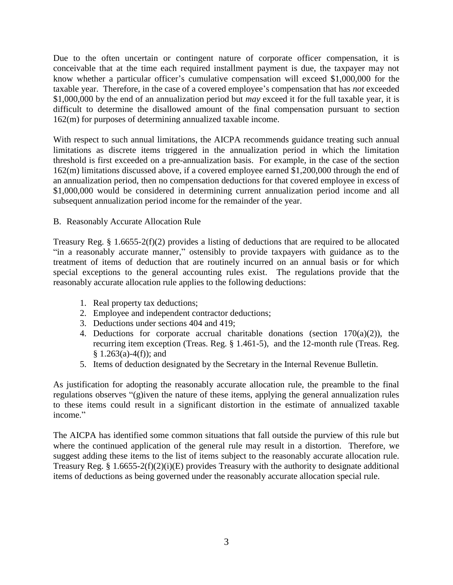Due to the often uncertain or contingent nature of corporate officer compensation, it is conceivable that at the time each required installment payment is due, the taxpayer may not know whether a particular officer's cumulative compensation will exceed \$1,000,000 for the taxable year. Therefore, in the case of a covered employee's compensation that has *not* exceeded \$1,000,000 by the end of an annualization period but *may* exceed it for the full taxable year, it is difficult to determine the disallowed amount of the final compensation pursuant to section 162(m) for purposes of determining annualized taxable income.

With respect to such annual limitations, the AICPA recommends guidance treating such annual limitations as discrete items triggered in the annualization period in which the limitation threshold is first exceeded on a pre-annualization basis. For example, in the case of the section 162(m) limitations discussed above, if a covered employee earned \$1,200,000 through the end of an annualization period, then no compensation deductions for that covered employee in excess of \$1,000,000 would be considered in determining current annualization period income and all subsequent annualization period income for the remainder of the year.

### B. Reasonably Accurate Allocation Rule

Treasury Reg. § 1.6655-2(f)(2) provides a listing of deductions that are required to be allocated "in a reasonably accurate manner," ostensibly to provide taxpayers with guidance as to the treatment of items of deduction that are routinely incurred on an annual basis or for which special exceptions to the general accounting rules exist. The regulations provide that the reasonably accurate allocation rule applies to the following deductions:

- 1. Real property tax deductions;
- 2. Employee and independent contractor deductions;
- 3. Deductions under sections 404 and 419;
- 4. Deductions for corporate accrual charitable donations (section  $170(a)(2)$ ), the recurring item exception (Treas. Reg. § 1.461-5), and the 12-month rule (Treas. Reg.  $§ 1.263(a)-4(f);$  and
- 5. Items of deduction designated by the Secretary in the Internal Revenue Bulletin.

As justification for adopting the reasonably accurate allocation rule, the preamble to the final regulations observes "(g)iven the nature of these items, applying the general annualization rules to these items could result in a significant distortion in the estimate of annualized taxable income."

The AICPA has identified some common situations that fall outside the purview of this rule but where the continued application of the general rule may result in a distortion. Therefore, we suggest adding these items to the list of items subject to the reasonably accurate allocation rule. Treasury Reg. § 1.6655-2(f)(2)(i)(E) provides Treasury with the authority to designate additional items of deductions as being governed under the reasonably accurate allocation special rule.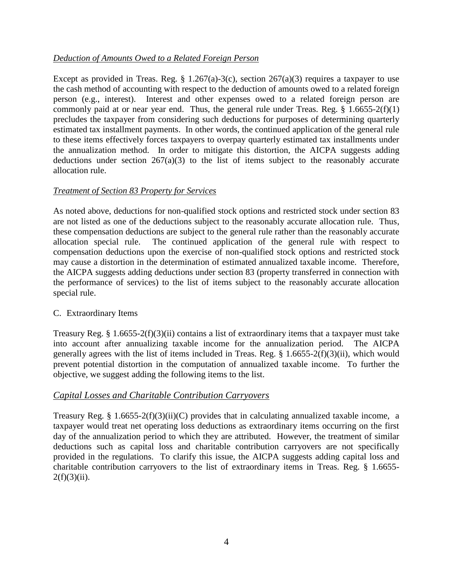## *Deduction of Amounts Owed to a Related Foreign Person*

Except as provided in Treas. Reg. § 1.267(a)-3(c), section  $267(a)(3)$  requires a taxpayer to use the cash method of accounting with respect to the deduction of amounts owed to a related foreign person (e.g., interest). Interest and other expenses owed to a related foreign person are commonly paid at or near year end. Thus, the general rule under Treas. Reg.  $\frac{1.6655}{2}$ (f)(1) precludes the taxpayer from considering such deductions for purposes of determining quarterly estimated tax installment payments. In other words, the continued application of the general rule to these items effectively forces taxpayers to overpay quarterly estimated tax installments under the annualization method. In order to mitigate this distortion, the AICPA suggests adding deductions under section  $267(a)(3)$  to the list of items subject to the reasonably accurate allocation rule.

#### *Treatment of Section 83 Property for Services*

As noted above, deductions for non-qualified stock options and restricted stock under section 83 are not listed as one of the deductions subject to the reasonably accurate allocation rule. Thus, these compensation deductions are subject to the general rule rather than the reasonably accurate allocation special rule. The continued application of the general rule with respect to compensation deductions upon the exercise of non-qualified stock options and restricted stock may cause a distortion in the determination of estimated annualized taxable income. Therefore, the AICPA suggests adding deductions under section 83 (property transferred in connection with the performance of services) to the list of items subject to the reasonably accurate allocation special rule.

#### C. Extraordinary Items

Treasury Reg. § 1.6655-2(f)(3)(ii) contains a list of extraordinary items that a taxpayer must take into account after annualizing taxable income for the annualization period. The AICPA generally agrees with the list of items included in Treas. Reg. § 1.6655-2(f)(3)(ii), which would prevent potential distortion in the computation of annualized taxable income. To further the objective, we suggest adding the following items to the list.

#### *Capital Losses and Charitable Contribution Carryovers*

Treasury Reg. § 1.6655-2(f)(3)(ii)(C) provides that in calculating annualized taxable income, a taxpayer would treat net operating loss deductions as extraordinary items occurring on the first day of the annualization period to which they are attributed. However, the treatment of similar deductions such as capital loss and charitable contribution carryovers are not specifically provided in the regulations. To clarify this issue, the AICPA suggests adding capital loss and charitable contribution carryovers to the list of extraordinary items in Treas. Reg. § 1.6655-  $2(f)(3)(ii)$ .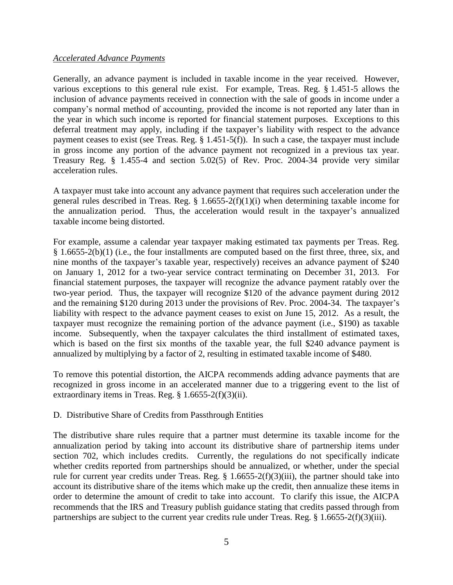#### *Accelerated Advance Payments*

Generally, an advance payment is included in taxable income in the year received. However, various exceptions to this general rule exist. For example, Treas. Reg. § 1.451-5 allows the inclusion of advance payments received in connection with the sale of goods in income under a company's normal method of accounting, provided the income is not reported any later than in the year in which such income is reported for financial statement purposes. Exceptions to this deferral treatment may apply, including if the taxpayer's liability with respect to the advance payment ceases to exist (see Treas. Reg. § 1.451-5(f)). In such a case, the taxpayer must include in gross income any portion of the advance payment not recognized in a previous tax year. Treasury Reg. § 1.455-4 and section 5.02(5) of Rev. Proc. 2004-34 provide very similar acceleration rules.

A taxpayer must take into account any advance payment that requires such acceleration under the general rules described in Treas. Reg.  $\S$  1.6655-2(f)(1)(i) when determining taxable income for the annualization period. Thus, the acceleration would result in the taxpayer's annualized taxable income being distorted.

For example, assume a calendar year taxpayer making estimated tax payments per Treas. Reg. § 1.6655-2(b)(1) (i.e., the four installments are computed based on the first three, three, six, and nine months of the taxpayer's taxable year, respectively) receives an advance payment of \$240 on January 1, 2012 for a two-year service contract terminating on December 31, 2013. For financial statement purposes, the taxpayer will recognize the advance payment ratably over the two-year period. Thus, the taxpayer will recognize \$120 of the advance payment during 2012 and the remaining \$120 during 2013 under the provisions of Rev. Proc. 2004-34. The taxpayer's liability with respect to the advance payment ceases to exist on June 15, 2012. As a result, the taxpayer must recognize the remaining portion of the advance payment (i.e., \$190) as taxable income. Subsequently, when the taxpayer calculates the third installment of estimated taxes, which is based on the first six months of the taxable year, the full \$240 advance payment is annualized by multiplying by a factor of 2, resulting in estimated taxable income of \$480.

To remove this potential distortion, the AICPA recommends adding advance payments that are recognized in gross income in an accelerated manner due to a triggering event to the list of extraordinary items in Treas. Reg.  $§ 1.6655-2(f)(3)(ii)$ .

D. Distributive Share of Credits from Passthrough Entities

The distributive share rules require that a partner must determine its taxable income for the annualization period by taking into account its distributive share of partnership items under section 702, which includes credits. Currently, the regulations do not specifically indicate whether credits reported from partnerships should be annualized, or whether, under the special rule for current year credits under Treas. Reg. § 1.6655-2(f)(3)(iii), the partner should take into account its distributive share of the items which make up the credit, then annualize these items in order to determine the amount of credit to take into account. To clarify this issue, the AICPA recommends that the IRS and Treasury publish guidance stating that credits passed through from partnerships are subject to the current year credits rule under Treas. Reg. § 1.6655-2(f)(3)(iii).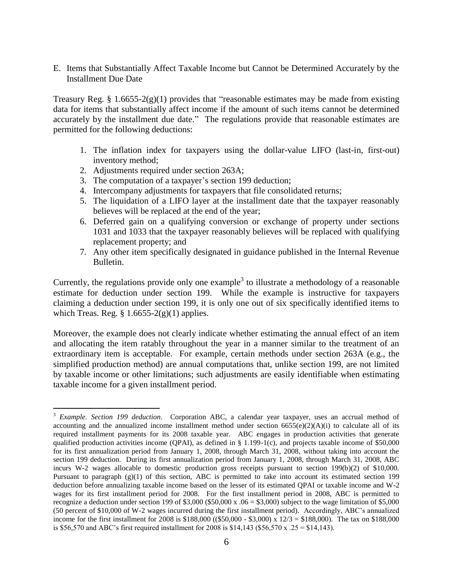E. Items that Substantially Affect Taxable Income but Cannot be Determined Accurately by the Installment Due Date

Treasury Reg. § 1.6655-2(g)(1) provides that "reasonable estimates may be made from existing data for items that substantially affect income if the amount of such items cannot be determined accurately by the installment due date." The regulations provide that reasonable estimates are permitted for the following deductions:

- 1. The inflation index for taxpayers using the dollar-value LIFO (last-in, first-out) inventory method;
- 2. Adjustments required under section 263A;

- 3. The computation of a taxpayer's section 199 deduction;
- 4. Intercompany adjustments for taxpayers that file consolidated returns;
- 5. The liquidation of a LIFO layer at the installment date that the taxpayer reasonably believes will be replaced at the end of the year;
- 6. Deferred gain on a qualifying conversion or exchange of property under sections 1031 and 1033 that the taxpayer reasonably believes will be replaced with qualifying replacement property; and
- 7. Any other item specifically designated in guidance published in the Internal Revenue Bulletin.

Currently, the regulations provide only one example<sup>3</sup> to illustrate a methodology of a reasonable estimate for deduction under section 199. While the example is instructive for taxpayers claiming a deduction under section 199, it is only one out of six specifically identified items to which Treas. Reg.  $\S$  1.6655-2(g)(1) applies.

Moreover, the example does not clearly indicate whether estimating the annual effect of an item and allocating the item ratably throughout the year in a manner similar to the treatment of an extraordinary item is acceptable. For example, certain methods under section 263A (e.g., the simplified production method) are annual computations that, unlike section 199, are not limited by taxable income or other limitations; such adjustments are easily identifiable when estimating taxable income for a given installment period.

<sup>3</sup> *Example. Section 199 deduction.* Corporation ABC, a calendar year taxpayer, uses an accrual method of accounting and the annualized income installment method under section  $6655(e)(2)(A)(i)$  to calculate all of its required installment payments for its 2008 taxable year. ABC engages in production activities that generate qualified production activities income (QPAI), as defined in § 1.199-1(c), and projects taxable income of \$50,000 for its first annualization period from January 1, 2008, through March 31, 2008, without taking into account the section 199 deduction. During its first annualization period from January 1, 2008, through March 31, 2008, ABC incurs W-2 wages allocable to domestic production gross receipts pursuant to section 199(b)(2) of \$10,000. Pursuant to paragraph (g)(1) of this section, ABC is permitted to take into account its estimated section 199 deduction before annualizing taxable income based on the lesser of its estimated QPAI or taxable income and W-2 wages for its first installment period for 2008. For the first installment period in 2008, ABC is permitted to recognize a deduction under section 199 of \$3,000 (\$50,000 x  $.06 = $3,000$ ) subject to the wage limitation of \$5,000 (50 percent of \$10,000 of W-2 wages incurred during the first installment period). Accordingly, ABC's annualized income for the first installment for 2008 is \$188,000 ((\$50,000 - \$3,000) x  $12/3 = $188,000$ ). The tax on \$188,000 is \$56,570 and ABC's first required installment for 2008 is \$14,143 (\$56,570 x  $.25 = $14,143$ ).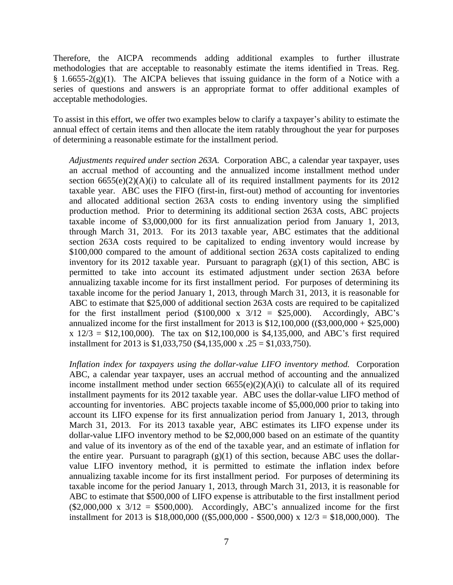Therefore, the AICPA recommends adding additional examples to further illustrate methodologies that are acceptable to reasonably estimate the items identified in Treas. Reg.  $§ 1.6655-2(g)(1)$ . The AICPA believes that issuing guidance in the form of a Notice with a series of questions and answers is an appropriate format to offer additional examples of acceptable methodologies.

To assist in this effort, we offer two examples below to clarify a taxpayer's ability to estimate the annual effect of certain items and then allocate the item ratably throughout the year for purposes of determining a reasonable estimate for the installment period.

*Adjustments required under section 263A.* Corporation ABC, a calendar year taxpayer, uses an accrual method of accounting and the annualized income installment method under section  $6655(e)(2)(A)(i)$  to calculate all of its required installment payments for its 2012 taxable year. ABC uses the FIFO (first-in, first-out) method of accounting for inventories and allocated additional section 263A costs to ending inventory using the simplified production method. Prior to determining its additional section 263A costs, ABC projects taxable income of \$3,000,000 for its first annualization period from January 1, 2013, through March 31, 2013. For its 2013 taxable year, ABC estimates that the additional section 263A costs required to be capitalized to ending inventory would increase by \$100,000 compared to the amount of additional section 263A costs capitalized to ending inventory for its 2012 taxable year. Pursuant to paragraph  $(g)(1)$  of this section, ABC is permitted to take into account its estimated adjustment under section 263A before annualizing taxable income for its first installment period. For purposes of determining its taxable income for the period January 1, 2013, through March 31, 2013, it is reasonable for ABC to estimate that \$25,000 of additional section 263A costs are required to be capitalized for the first installment period  $(\$100,000 \times 3/12 = \$25,000)$ . Accordingly, ABC's annualized income for the first installment for 2013 is \$12,100,000 ((\$3,000,000 + \$25,000)  $x 12/3 = $12,100,000$ . The tax on \$12,100,000 is \$4,135,000, and ABC's first required installment for 2013 is \$1,033,750 (\$4,135,000 x .25 = \$1,033,750).

*Inflation index for taxpayers using the dollar-value LIFO inventory method.* Corporation ABC, a calendar year taxpayer, uses an accrual method of accounting and the annualized income installment method under section 6655(e)(2)(A)(i) to calculate all of its required installment payments for its 2012 taxable year. ABC uses the dollar-value LIFO method of accounting for inventories. ABC projects taxable income of \$5,000,000 prior to taking into account its LIFO expense for its first annualization period from January 1, 2013, through March 31, 2013. For its 2013 taxable year, ABC estimates its LIFO expense under its dollar-value LIFO inventory method to be \$2,000,000 based on an estimate of the quantity and value of its inventory as of the end of the taxable year, and an estimate of inflation for the entire year. Pursuant to paragraph  $(g)(1)$  of this section, because ABC uses the dollarvalue LIFO inventory method, it is permitted to estimate the inflation index before annualizing taxable income for its first installment period. For purposes of determining its taxable income for the period January 1, 2013, through March 31, 2013, it is reasonable for ABC to estimate that \$500,000 of LIFO expense is attributable to the first installment period  $($2,000,000 \times 3/12 = $500,000)$ . Accordingly, ABC's annualized income for the first installment for 2013 is \$18,000,000 ((\$5,000,000 - \$500,000) x  $12/3 = $18,000,000$ ). The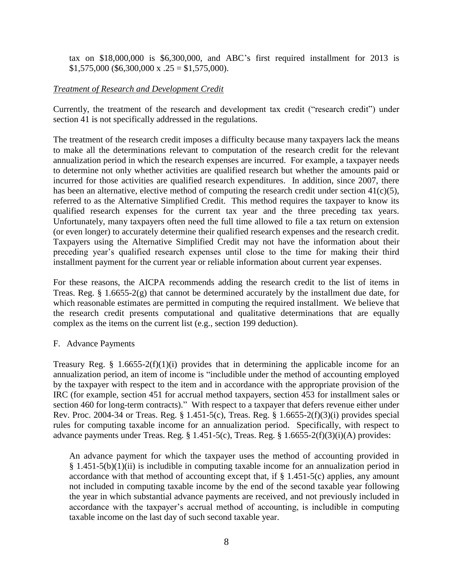tax on \$18,000,000 is \$6,300,000, and ABC's first required installment for 2013 is  $$1,575,000$  (\$6,300,000 x  $.25 = $1,575,000$ ).

### *Treatment of Research and Development Credit*

Currently, the treatment of the research and development tax credit ("research credit") under section 41 is not specifically addressed in the regulations.

The treatment of the research credit imposes a difficulty because many taxpayers lack the means to make all the determinations relevant to computation of the research credit for the relevant annualization period in which the research expenses are incurred. For example, a taxpayer needs to determine not only whether activities are qualified research but whether the amounts paid or incurred for those activities are qualified research expenditures. In addition, since 2007, there has been an alternative, elective method of computing the research credit under section  $41(c)(5)$ , referred to as the Alternative Simplified Credit. This method requires the taxpayer to know its qualified research expenses for the current tax year and the three preceding tax years. Unfortunately, many taxpayers often need the full time allowed to file a tax return on extension (or even longer) to accurately determine their qualified research expenses and the research credit. Taxpayers using the Alternative Simplified Credit may not have the information about their preceding year's qualified research expenses until close to the time for making their third installment payment for the current year or reliable information about current year expenses.

For these reasons, the AICPA recommends adding the research credit to the list of items in Treas. Reg. § 1.6655-2(g) that cannot be determined accurately by the installment due date, for which reasonable estimates are permitted in computing the required installment. We believe that the research credit presents computational and qualitative determinations that are equally complex as the items on the current list (e.g., section 199 deduction).

#### F. Advance Payments

Treasury Reg. § 1.6655-2(f)(1)(i) provides that in determining the applicable income for an annualization period, an item of income is "includible under the method of accounting employed by the taxpayer with respect to the item and in accordance with the appropriate provision of the IRC (for example, section 451 for accrual method taxpayers, section 453 for installment sales or section 460 for long-term contracts)." With respect to a taxpayer that defers revenue either under Rev. Proc. 2004-34 or Treas. Reg. § 1.451-5(c), Treas. Reg. § 1.6655-2(f)(3)(i) provides special rules for computing taxable income for an annualization period. Specifically, with respect to advance payments under Treas. Reg.  $\S 1.451-5(c)$ , Treas. Reg.  $\S 1.6655-2(f)(3)(i)$ (A) provides:

An advance payment for which the taxpayer uses the method of accounting provided in  $§$  1.451-5(b)(1)(ii) is includible in computing taxable income for an annualization period in accordance with that method of accounting except that, if  $\S$  1.451-5(c) applies, any amount not included in computing taxable income by the end of the second taxable year following the year in which substantial advance payments are received, and not previously included in accordance with the taxpayer's accrual method of accounting, is includible in computing taxable income on the last day of such second taxable year.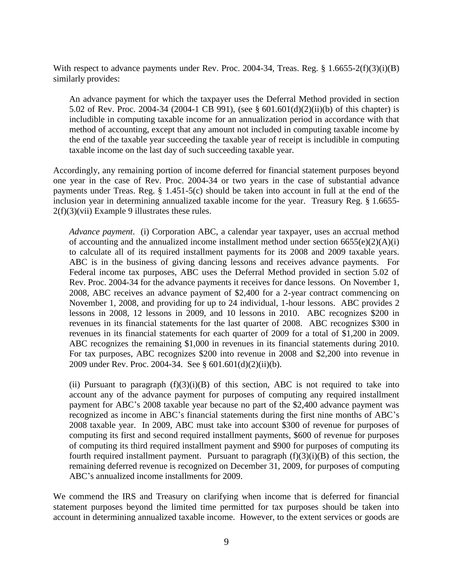With respect to advance payments under Rev. Proc. 2004-34, Treas. Reg. § 1.6655-2(f)(3)(i)(B) similarly provides:

An advance payment for which the taxpayer uses the Deferral Method provided in section 5.02 of Rev. Proc. 2004-34 (2004-1 CB 991), (see § 601.601(d)(2)(ii)(b) of this chapter) is includible in computing taxable income for an annualization period in accordance with that method of accounting, except that any amount not included in computing taxable income by the end of the taxable year succeeding the taxable year of receipt is includible in computing taxable income on the last day of such succeeding taxable year.

Accordingly, any remaining portion of income deferred for financial statement purposes beyond one year in the case of Rev. Proc. 2004-34 or two years in the case of substantial advance payments under Treas. Reg. § 1.451-5(c) should be taken into account in full at the end of the inclusion year in determining annualized taxable income for the year. Treasury Reg. § 1.6655- 2(f)(3)(vii) Example 9 illustrates these rules.

*Advance payment*. (i) Corporation ABC, a calendar year taxpayer, uses an accrual method of accounting and the annualized income installment method under section  $6655(e)(2)(A)(i)$ to calculate all of its required installment payments for its 2008 and 2009 taxable years. ABC is in the business of giving dancing lessons and receives advance payments. For Federal income tax purposes, ABC uses the Deferral Method provided in section 5.02 of Rev. Proc. 2004-34 for the advance payments it receives for dance lessons. On November 1, 2008, ABC receives an advance payment of \$2,400 for a 2-year contract commencing on November 1, 2008, and providing for up to 24 individual, 1-hour lessons. ABC provides 2 lessons in 2008, 12 lessons in 2009, and 10 lessons in 2010. ABC recognizes \$200 in revenues in its financial statements for the last quarter of 2008. ABC recognizes \$300 in revenues in its financial statements for each quarter of 2009 for a total of \$1,200 in 2009. ABC recognizes the remaining \$1,000 in revenues in its financial statements during 2010. For tax purposes, ABC recognizes \$200 into revenue in 2008 and \$2,200 into revenue in 2009 under Rev. Proc. 2004-34. See § 601.601(d)(2)(ii)(b).

(ii) Pursuant to paragraph  $(f)(3)(i)(B)$  of this section, ABC is not required to take into account any of the advance payment for purposes of computing any required installment payment for ABC's 2008 taxable year because no part of the \$2,400 advance payment was recognized as income in ABC's financial statements during the first nine months of ABC's 2008 taxable year. In 2009, ABC must take into account \$300 of revenue for purposes of computing its first and second required installment payments, \$600 of revenue for purposes of computing its third required installment payment and \$900 for purposes of computing its fourth required installment payment. Pursuant to paragraph  $(f)(3)(i)(B)$  of this section, the remaining deferred revenue is recognized on December 31, 2009, for purposes of computing ABC's annualized income installments for 2009.

We commend the IRS and Treasury on clarifying when income that is deferred for financial statement purposes beyond the limited time permitted for tax purposes should be taken into account in determining annualized taxable income. However, to the extent services or goods are